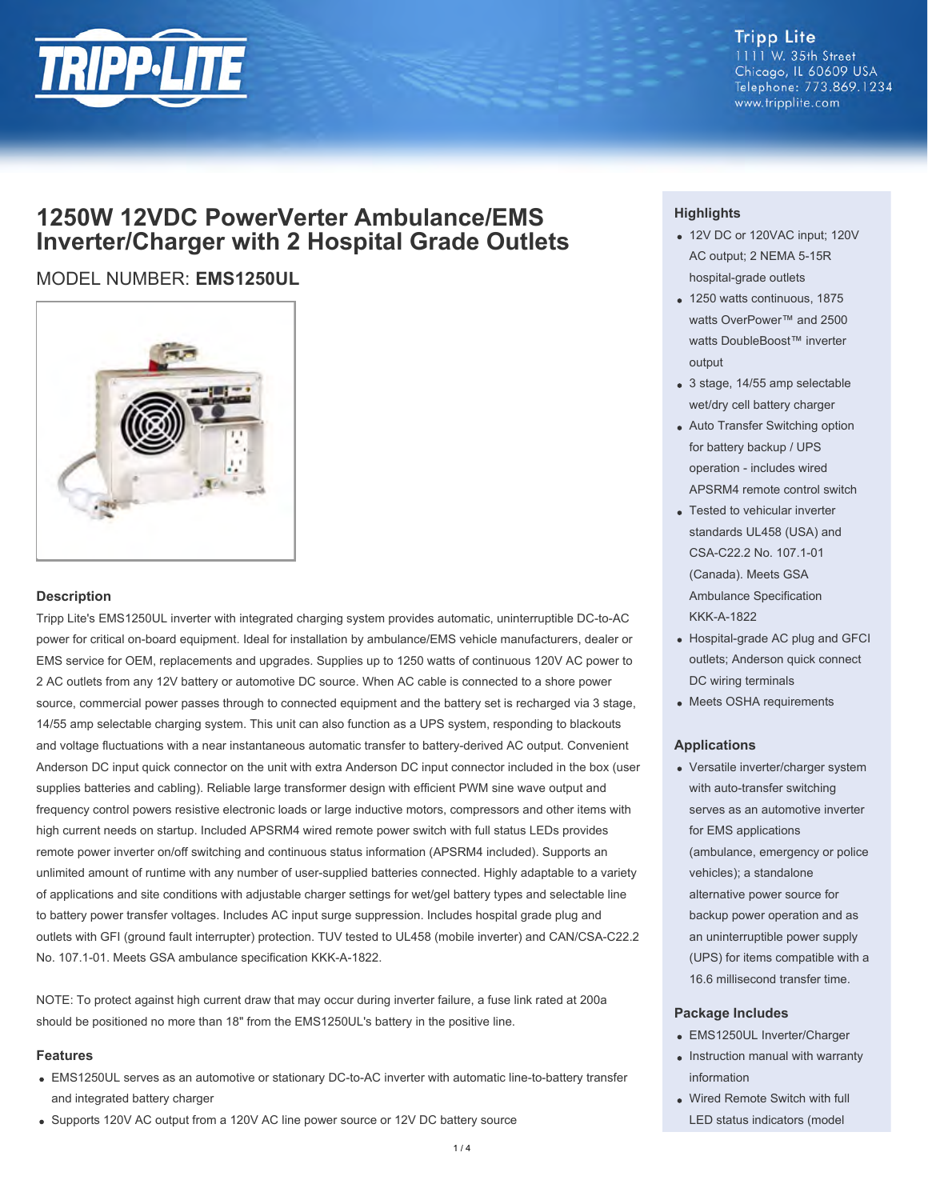

#### **Tripp Lite** 1111 W. 35th Street Chicago, IL 60609 USA Telephone: 773.869.1234 www.tripplite.com

# **1250W 12VDC PowerVerter Ambulance/EMS Inverter/Charger with 2 Hospital Grade Outlets**

## MODEL NUMBER: **EMS1250UL**



#### **Description**

Tripp Lite's EMS1250UL inverter with integrated charging system provides automatic, uninterruptible DC-to-AC power for critical on-board equipment. Ideal for installation by ambulance/EMS vehicle manufacturers, dealer or EMS service for OEM, replacements and upgrades. Supplies up to 1250 watts of continuous 120V AC power to 2 AC outlets from any 12V battery or automotive DC source. When AC cable is connected to a shore power source, commercial power passes through to connected equipment and the battery set is recharged via 3 stage, 14/55 amp selectable charging system. This unit can also function as a UPS system, responding to blackouts and voltage fluctuations with a near instantaneous automatic transfer to battery-derived AC output. Convenient Anderson DC input quick connector on the unit with extra Anderson DC input connector included in the box (user supplies batteries and cabling). Reliable large transformer design with efficient PWM sine wave output and frequency control powers resistive electronic loads or large inductive motors, compressors and other items with high current needs on startup. Included APSRM4 wired remote power switch with full status LEDs provides remote power inverter on/off switching and continuous status information (APSRM4 included). Supports an unlimited amount of runtime with any number of user-supplied batteries connected. Highly adaptable to a variety of applications and site conditions with adjustable charger settings for wet/gel battery types and selectable line to battery power transfer voltages. Includes AC input surge suppression. Includes hospital grade plug and outlets with GFI (ground fault interrupter) protection. TUV tested to UL458 (mobile inverter) and CAN/CSA-C22.2 No. 107.1-01. Meets GSA ambulance specification KKK-A-1822.

NOTE: To protect against high current draw that may occur during inverter failure, a fuse link rated at 200a should be positioned no more than 18" from the EMS1250UL's battery in the positive line.

#### **Features**

- EMS1250UL serves as an automotive or stationary DC-to-AC inverter with automatic line-to-battery transfer and integrated battery charger
- Supports 120V AC output from a 120V AC line power source or 12V DC battery source

#### **Highlights**

- 12V DC or 120VAC input; 120V AC output; 2 NEMA 5-15R hospital-grade outlets
- 1250 watts continuous, 1875 watts OverPower™ and 2500 watts DoubleBoost™ inverter output
- 3 stage, 14/55 amp selectable wet/dry cell battery charger
- Auto Transfer Switching option for battery backup / UPS operation - includes wired APSRM4 remote control switch
- Tested to vehicular inverter standards UL458 (USA) and CSA-C22.2 No. 107.1-01 (Canada). Meets GSA Ambulance Specification KKK-A-1822
- Hospital-grade AC plug and GFCI outlets; Anderson quick connect DC wiring terminals
- Meets OSHA requirements

#### **Applications**

Versatile inverter/charger system with auto-transfer switching serves as an automotive inverter for EMS applications (ambulance, emergency or police vehicles); a standalone alternative power source for backup power operation and as an uninterruptible power supply (UPS) for items compatible with a 16.6 millisecond transfer time.

#### **Package Includes**

- EMS1250UL Inverter/Charger
- Instruction manual with warranty information
- Wired Remote Switch with full LED status indicators (model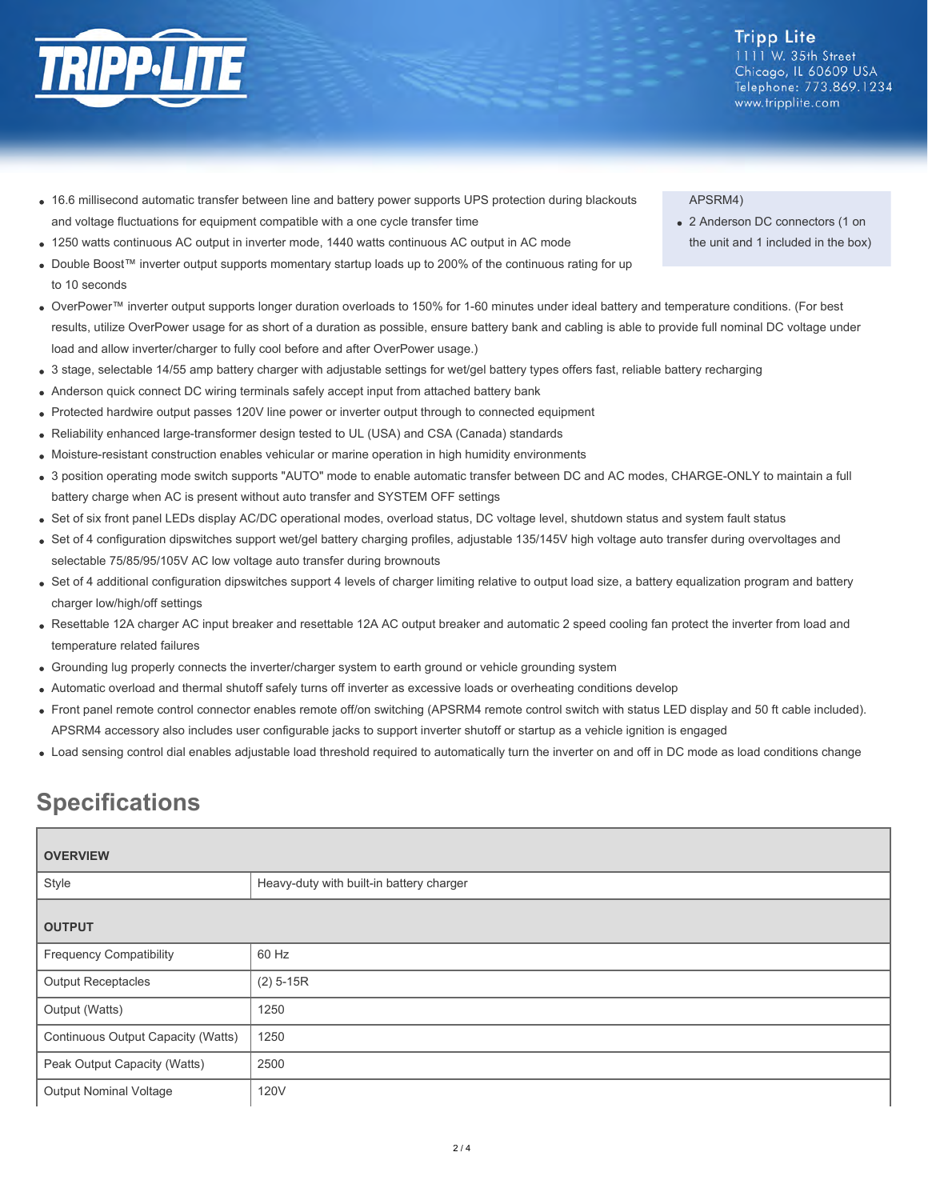

- 
- 16.6 millisecond automatic transfer between line and battery power supports UPS protection during blackouts and voltage fluctuations for equipment compatible with a one cycle transfer time
- 1250 watts continuous AC output in inverter mode, 1440 watts continuous AC output in AC mode
- Double Boost™ inverter output supports momentary startup loads up to 200% of the continuous rating for up to 10 seconds
- OverPower™ inverter output supports longer duration overloads to 150% for 1-60 minutes under ideal battery and temperature conditions. (For best results, utilize OverPower usage for as short of a duration as possible, ensure battery bank and cabling is able to provide full nominal DC voltage under load and allow inverter/charger to fully cool before and after OverPower usage.)
- 3 stage, selectable 14/55 amp battery charger with adjustable settings for wet/gel battery types offers fast, reliable battery recharging
- Anderson quick connect DC wiring terminals safely accept input from attached battery bank
- Protected hardwire output passes 120V line power or inverter output through to connected equipment
- Reliability enhanced large-transformer design tested to UL (USA) and CSA (Canada) standards
- Moisture-resistant construction enables vehicular or marine operation in high humidity environments
- 3 position operating mode switch supports "AUTO" mode to enable automatic transfer between DC and AC modes, CHARGE-ONLY to maintain a full battery charge when AC is present without auto transfer and SYSTEM OFF settings
- Set of six front panel LEDs display AC/DC operational modes, overload status, DC voltage level, shutdown status and system fault status
- Set of 4 configuration dipswitches support wet/gel battery charging profiles, adjustable 135/145V high voltage auto transfer during overvoltages and selectable 75/85/95/105V AC low voltage auto transfer during brownouts
- Set of 4 additional configuration dipswitches support 4 levels of charger limiting relative to output load size, a battery equalization program and battery charger low/high/off settings
- Resettable 12A charger AC input breaker and resettable 12A AC output breaker and automatic 2 speed cooling fan protect the inverter from load and temperature related failures
- Grounding lug properly connects the inverter/charger system to earth ground or vehicle grounding system
- Automatic overload and thermal shutoff safely turns off inverter as excessive loads or overheating conditions develop
- Front panel remote control connector enables remote off/on switching (APSRM4 remote control switch with status LED display and 50 ft cable included). APSRM4 accessory also includes user configurable jacks to support inverter shutoff or startup as a vehicle ignition is engaged
- Load sensing control dial enables adjustable load threshold required to automatically turn the inverter on and off in DC mode as load conditions change

# **Specifications**

| <b>OVERVIEW</b>                    |                                          |  |
|------------------------------------|------------------------------------------|--|
| Style                              | Heavy-duty with built-in battery charger |  |
| <b>OUTPUT</b>                      |                                          |  |
| <b>Frequency Compatibility</b>     | 60 Hz                                    |  |
| <b>Output Receptacles</b>          | $(2)$ 5-15R                              |  |
| Output (Watts)                     | 1250                                     |  |
| Continuous Output Capacity (Watts) | 1250                                     |  |
| Peak Output Capacity (Watts)       | 2500                                     |  |
| <b>Output Nominal Voltage</b>      | <b>120V</b>                              |  |

### APSRM4)

2 Anderson DC connectors (1 on the unit and 1 included in the box)

**Tripp Lite** 1111 W. 35th Street Chicago, IL 60609 USA Telephone: 773.869.1234

www.tripplite.com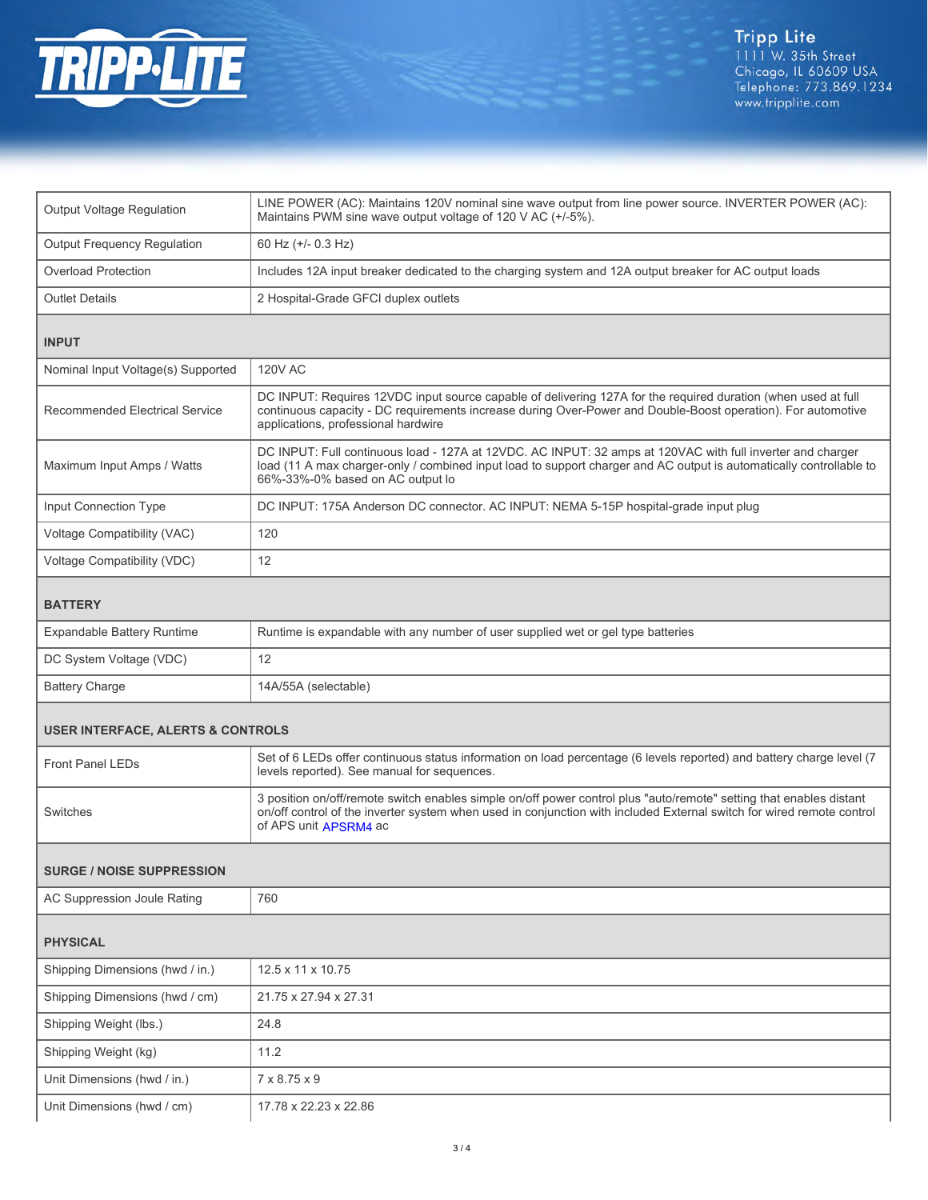

| <b>Output Voltage Regulation</b>             | LINE POWER (AC): Maintains 120V nominal sine wave output from line power source. INVERTER POWER (AC):<br>Maintains PWM sine wave output voltage of 120 V AC (+/-5%).                                                                                                  |  |
|----------------------------------------------|-----------------------------------------------------------------------------------------------------------------------------------------------------------------------------------------------------------------------------------------------------------------------|--|
| <b>Output Frequency Regulation</b>           | 60 Hz (+/- 0.3 Hz)                                                                                                                                                                                                                                                    |  |
| <b>Overload Protection</b>                   | Includes 12A input breaker dedicated to the charging system and 12A output breaker for AC output loads                                                                                                                                                                |  |
| <b>Outlet Details</b>                        | 2 Hospital-Grade GFCI duplex outlets                                                                                                                                                                                                                                  |  |
| <b>INPUT</b>                                 |                                                                                                                                                                                                                                                                       |  |
| Nominal Input Voltage(s) Supported           | <b>120V AC</b>                                                                                                                                                                                                                                                        |  |
| Recommended Electrical Service               | DC INPUT: Requires 12VDC input source capable of delivering 127A for the required duration (when used at full<br>continuous capacity - DC requirements increase during Over-Power and Double-Boost operation). For automotive<br>applications, professional hardwire  |  |
| Maximum Input Amps / Watts                   | DC INPUT: Full continuous load - 127A at 12VDC. AC INPUT: 32 amps at 120VAC with full inverter and charger<br>load (11 A max charger-only / combined input load to support charger and AC output is automatically controllable to<br>66%-33%-0% based on AC output lo |  |
| Input Connection Type                        | DC INPUT: 175A Anderson DC connector. AC INPUT: NEMA 5-15P hospital-grade input plug                                                                                                                                                                                  |  |
| Voltage Compatibility (VAC)                  | 120                                                                                                                                                                                                                                                                   |  |
| Voltage Compatibility (VDC)                  | 12                                                                                                                                                                                                                                                                    |  |
| <b>BATTERY</b>                               |                                                                                                                                                                                                                                                                       |  |
| <b>Expandable Battery Runtime</b>            | Runtime is expandable with any number of user supplied wet or gel type batteries                                                                                                                                                                                      |  |
| DC System Voltage (VDC)                      | 12                                                                                                                                                                                                                                                                    |  |
| <b>Battery Charge</b>                        | 14A/55A (selectable)                                                                                                                                                                                                                                                  |  |
| <b>USER INTERFACE, ALERTS &amp; CONTROLS</b> |                                                                                                                                                                                                                                                                       |  |
| <b>Front Panel LEDs</b>                      | Set of 6 LEDs offer continuous status information on load percentage (6 levels reported) and battery charge level (7<br>levels reported). See manual for sequences.                                                                                                   |  |
| Switches                                     | 3 position on/off/remote switch enables simple on/off power control plus "auto/remote" setting that enables distant<br>on/off control of the inverter system when used in conjunction with included External switch for wired remote control<br>of APS unit APSRM4 ac |  |
| <b>SURGE / NOISE SUPPRESSION</b>             |                                                                                                                                                                                                                                                                       |  |
| AC Suppression Joule Rating                  | 760                                                                                                                                                                                                                                                                   |  |
| <b>PHYSICAL</b>                              |                                                                                                                                                                                                                                                                       |  |
| Shipping Dimensions (hwd / in.)              | 12.5 x 11 x 10.75                                                                                                                                                                                                                                                     |  |
| Shipping Dimensions (hwd / cm)               | 21.75 x 27.94 x 27.31                                                                                                                                                                                                                                                 |  |
| Shipping Weight (lbs.)                       | 24.8                                                                                                                                                                                                                                                                  |  |
| Shipping Weight (kg)                         | 11.2                                                                                                                                                                                                                                                                  |  |
| Unit Dimensions (hwd / in.)                  | 7 x 8.75 x 9                                                                                                                                                                                                                                                          |  |
| Unit Dimensions (hwd / cm)                   | 17.78 x 22.23 x 22.86                                                                                                                                                                                                                                                 |  |